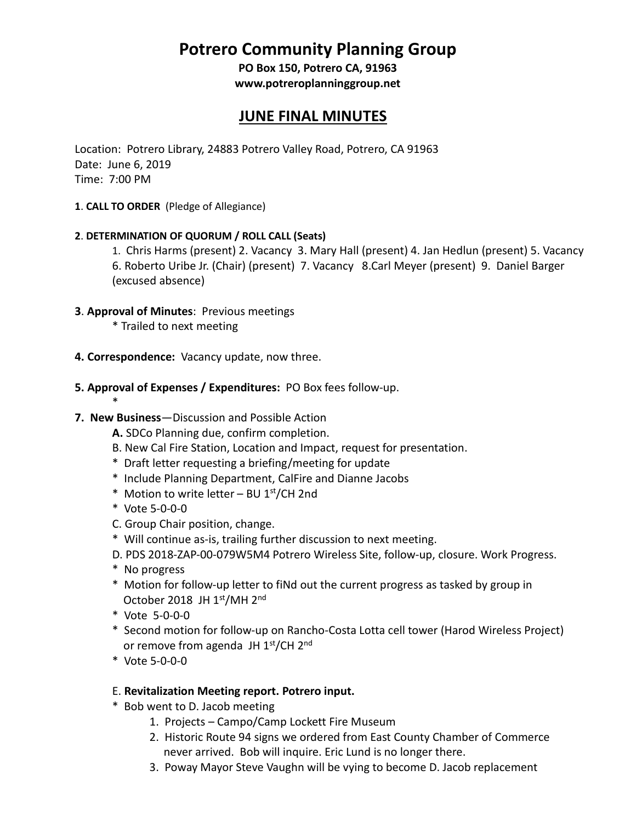# **Potrero Community Planning Group**

**PO Box 150, Potrero CA, 91963 [www.potreroplanninggroup.net](http://www.potreroplanninggroup.net/)**

## **JUNE FINAL MINUTES**

Location: Potrero Library, 24883 Potrero Valley Road, Potrero, CA 91963 Date: June 6, 2019 Time: 7:00 PM

**1**. **CALL TO ORDER** (Pledge of Allegiance)

#### **2**. **DETERMINATION OF QUORUM / ROLL CALL (Seats)**

- 1. Chris Harms (present) 2. Vacancy 3. Mary Hall (present) 4. Jan Hedlun (present) 5. Vacancy 6. Roberto Uribe Jr. (Chair) (present) 7. Vacancy 8.Carl Meyer (present) 9. Daniel Barger (excused absence)
- **3**. **Approval of Minutes**: Previous meetings
	- \* Trailed to next meeting
- **4. Correspondence:** Vacancy update, now three.
- **5. Approval of Expenses / Expenditures:** PO Box fees follow-up.

#### **7. New Business**—Discussion and Possible Action

- **A.** SDCo Planning due, confirm completion.
- B. New Cal Fire Station, Location and Impact, request for presentation.
- \* Draft letter requesting a briefing/meeting for update
- \* Include Planning Department, CalFire and Dianne Jacobs
- \* Motion to write letter BU  $1<sup>st</sup>/CH$  2nd
- \* Vote 5-0-0-0

\*

- C. Group Chair position, change.
- \* Will continue as-is, trailing further discussion to next meeting.
- D. PDS 2018-ZAP-00-079W5M4 Potrero Wireless Site, follow-up, closure. Work Progress.
- \* No progress
- \* Motion for follow-up letter to fiNd out the current progress as tasked by group in October 2018 JH 1st/MH 2nd
- \* Vote 5-0-0-0
- \* Second motion for follow-up on Rancho-Costa Lotta cell tower (Harod Wireless Project) or remove from agenda JH 1<sup>st</sup>/CH 2<sup>nd</sup>
- \* Vote 5-0-0-0

#### E. **Revitalization Meeting report. Potrero input.**

- \* Bob went to D. Jacob meeting
	- 1. Projects Campo/Camp Lockett Fire Museum
	- 2. Historic Route 94 signs we ordered from East County Chamber of Commerce never arrived. Bob will inquire. Eric Lund is no longer there.
	- 3. Poway Mayor Steve Vaughn will be vying to become D. Jacob replacement